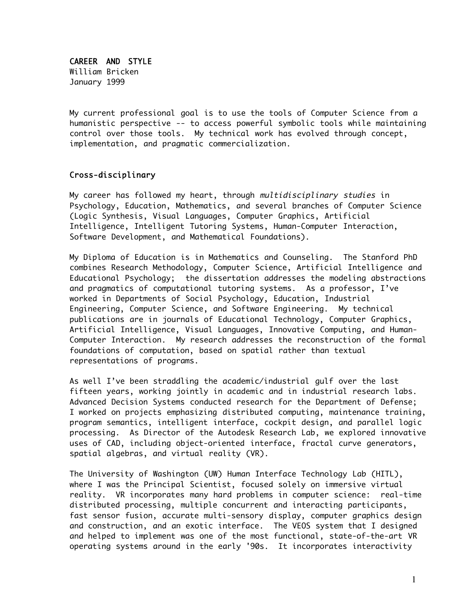CAREER AND STYLE William Bricken January 1999

My current professional goal is to use the tools of Computer Science from a humanistic perspective -- to access powerful symbolic tools while maintaining control over those tools. My technical work has evolved through concept, implementation, and pragmatic commercialization.

# Cross-disciplinary

My career has followed my heart, through *multidisciplinary studies* in Psychology, Education, Mathematics, and several branches of Computer Science (Logic Synthesis, Visual Languages, Computer Graphics, Artificial Intelligence, Intelligent Tutoring Systems, Human-Computer Interaction, Software Development, and Mathematical Foundations).

My Diploma of Education is in Mathematics and Counseling. The Stanford PhD combines Research Methodology, Computer Science, Artificial Intelligence and Educational Psychology; the dissertation addresses the modeling abstractions and pragmatics of computational tutoring systems. As a professor, I've worked in Departments of Social Psychology, Education, Industrial Engineering, Computer Science, and Software Engineering. My technical publications are in journals of Educational Technology, Computer Graphics, Artificial Intelligence, Visual Languages, Innovative Computing, and Human-Computer Interaction. My research addresses the reconstruction of the formal foundations of computation, based on spatial rather than textual representations of programs.

As well I've been straddling the academic/industrial gulf over the last fifteen years, working jointly in academic and in industrial research labs. Advanced Decision Systems conducted research for the Department of Defense; I worked on projects emphasizing distributed computing, maintenance training, program semantics, intelligent interface, cockpit design, and parallel logic processing. As Director of the Autodesk Research Lab, we explored innovative uses of CAD, including object-oriented interface, fractal curve generators, spatial algebras, and virtual reality (VR).

The University of Washington (UW) Human Interface Technology Lab (HITL), where I was the Principal Scientist, focused solely on immersive virtual reality. VR incorporates many hard problems in computer science: real-time distributed processing, multiple concurrent and interacting participants, fast sensor fusion, accurate multi-sensory display, computer graphics design and construction, and an exotic interface. The VEOS system that I designed and helped to implement was one of the most functional, state-of-the-art VR operating systems around in the early '90s. It incorporates interactivity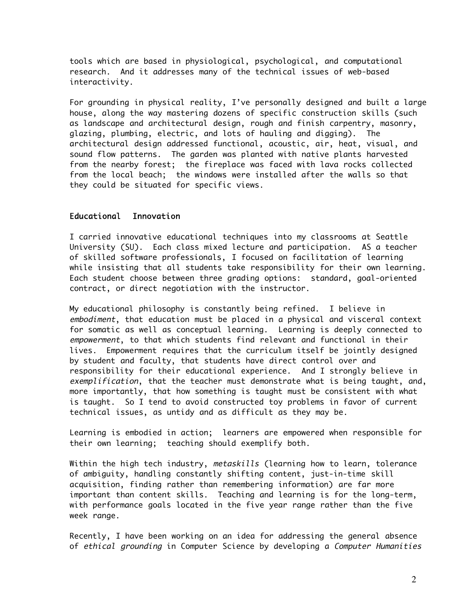tools which are based in physiological, psychological, and computational research. And it addresses many of the technical issues of web-based interactivity.

For grounding in physical reality, I've personally designed and built a large house, along the way mastering dozens of specific construction skills (such as landscape and architectural design, rough and finish carpentry, masonry, glazing, plumbing, electric, and lots of hauling and digging). The architectural design addressed functional, acoustic, air, heat, visual, and sound flow patterns. The garden was planted with native plants harvested from the nearby forest; the fireplace was faced with lava rocks collected from the local beach; the windows were installed after the walls so that they could be situated for specific views.

### Educational Innovation

I carried innovative educational techniques into my classrooms at Seattle University (SU). Each class mixed lecture and participation. AS a teacher of skilled software professionals, I focused on facilitation of learning while insisting that all students take responsibility for their own learning. Each student choose between three grading options: standard, goal-oriented contract, or direct negotiation with the instructor.

My educational philosophy is constantly being refined. I believe in embodiment, that education must be placed in a physical and visceral context for somatic as well as conceptual learning. Learning is deeply connected to empowerment, to that which students find relevant and functional in their lives. Empowerment requires that the curriculum itself be jointly designed by student and faculty, that students have direct control over and responsibility for their educational experience. And I strongly believe in exemplification, that the teacher must demonstrate what is being taught, and, more importantly, that how something is taught must be consistent with what is taught. So I tend to avoid constructed toy problems in favor of current technical issues, as untidy and as difficult as they may be.

Learning is embodied in action; learners are empowered when responsible for their own learning; teaching should exemplify both.

Within the high tech industry, metaskills (learning how to learn, tolerance of ambiguity, handling constantly shifting content, just-in-time skill acquisition, finding rather than remembering information) are far more important than content skills. Teaching and learning is for the long-term, with performance goals located in the five year range rather than the five week range.

Recently, I have been working on an idea for addressing the general absence of ethical grounding in Computer Science by developing a Computer Humanities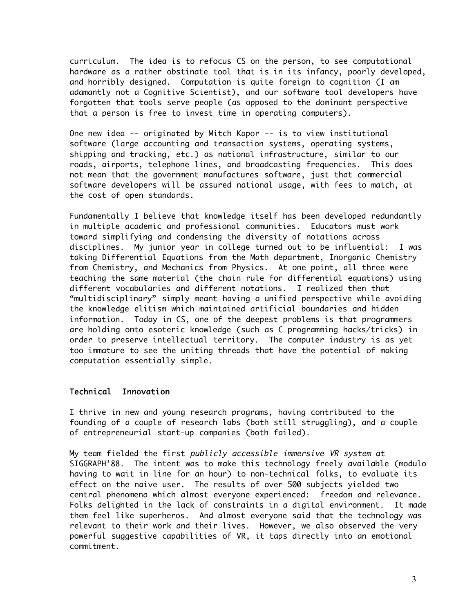curriculum. The idea is to refocus CS on the person, to see computational hardware as a rather obstinate tool that is in its infancy, poorly developed, and horribly designed. Computation is quite foreign to cognition (I am adamantly not a Cognitive Scientist), and our software tool developers have forgotten that tools serve people (as opposed to the dominant perspective that a person is free to invest time in operating computers).

One new idea -- originated by Mitch Kapor -- is to view institutional software (large accounting and transaction systems, operating systems, shipping and tracking, etc.) as national infrastructure, similar to our roads, airports, telephone lines, and broadcasting frequencies. This does not mean that the government manufactures software, just that commercial software developers will be assured national usage, with fees to match, at the cost of open standards.

Fundamentally I believe that knowledge itself has been developed redundantly in multiple academic and professional communities. Educators must work toward simplifying and condensing the diversity of notations across disciplines. My junior year in college turned out to be influential: I was taking Differential Equations from the Math department, Inorganic Chemistry from Chemistry, and Mechanics from Physics. At one point, all three were teaching the same material (the chain rule for differential equations) using different vocabularies and different notations. I realized then that "multidisciplinary" simply meant having a unified perspective while avoiding the knowledge elitism which maintained artificial boundaries and hidden information. Today in CS, one of the deepest problems is that programmers are holding onto esoteric knowledge (such as C programming hacks/tricks) in order to preserve intellectual territory. The computer industry is as yet too immature to see the uniting threads that have the potential of making computation essentially simple.

## Technical Innovation

I thrive in new and young research programs, having contributed to the founding of a couple of research labs (both still struggling), and a couple of entrepreneurial start-up companies (both failed).

My team fielded the first publicly accessible immersive VR system at SIGGRAPH'88. The intent was to make this technology freely available (modulo having to wait in line for an hour) to non-technical folks, to evaluate its effect on the naive user. The results of over 500 subjects yielded two central phenomena which almost everyone experienced: freedom and relevance. Folks delighted in the lack of constraints in a digital environment. It made them feel like superheros. And almost everyone said that the technology was relevant to their work and their lives. However, we also observed the very powerful suggestive capabilities of VR, it taps directly into an emotional commitment.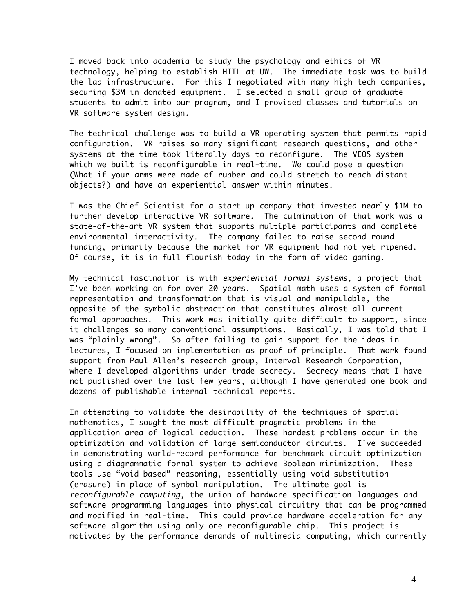I moved back into academia to study the psychology and ethics of VR technology, helping to establish HITL at UW. The immediate task was to build the lab infrastructure. For this I negotiated with many high tech companies, securing \$3M in donated equipment. I selected a small group of graduate students to admit into our program, and I provided classes and tutorials on VR software system design.

The technical challenge was to build a VR operating system that permits rapid configuration. VR raises so many significant research questions, and other systems at the time took literally days to reconfigure. The VEOS system which we built is reconfigurable in real-time. We could pose a question (What if your arms were made of rubber and could stretch to reach distant objects?) and have an experiential answer within minutes.

I was the Chief Scientist for a start-up company that invested nearly \$1M to further develop interactive VR software. The culmination of that work was a state-of-the-art VR system that supports multiple participants and complete environmental interactivity. The company failed to raise second round funding, primarily because the market for VR equipment had not yet ripened. Of course, it is in full flourish today in the form of video gaming.

My technical fascination is with *experiential formal systems*, a project that I've been working on for over 20 years. Spatial math uses a system of formal representation and transformation that is visual and manipulable, the opposite of the symbolic abstraction that constitutes almost all current formal approaches. This work was initially quite difficult to support, since it challenges so many conventional assumptions. Basically, I was told that I was "plainly wrong". So after failing to gain support for the ideas in lectures, I focused on implementation as proof of principle. That work found support from Paul Allen's research group, Interval Research Corporation, where I developed algorithms under trade secrecy. Secrecy means that I have not published over the last few years, although I have generated one book and dozens of publishable internal technical reports.

In attempting to validate the desirability of the techniques of spatial mathematics, I sought the most difficult pragmatic problems in the application area of logical deduction. These hardest problems occur in the optimization and validation of large semiconductor circuits. I've succeeded in demonstrating world-record performance for benchmark circuit optimization using a diagrammatic formal system to achieve Boolean minimization. These tools use "void-based" reasoning, essentially using void-substitution (erasure) in place of symbol manipulation. The ultimate goal is reconfigurable computing, the union of hardware specification languages and software programming languages into physical circuitry that can be programmed and modified in real-time. This could provide hardware acceleration for any software algorithm using only one reconfigurable chip. This project is motivated by the performance demands of multimedia computing, which currently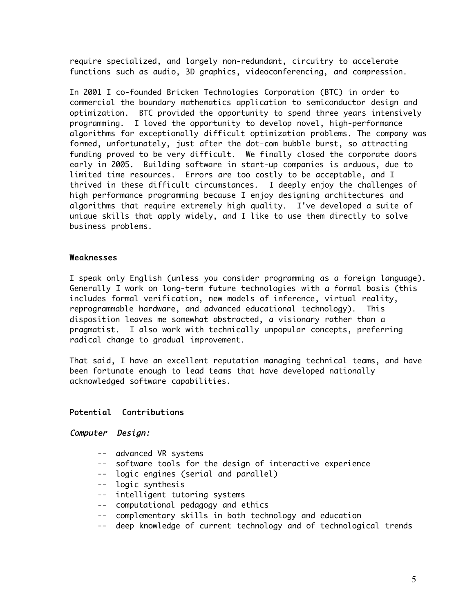require specialized, and largely non-redundant, circuitry to accelerate functions such as audio, 3D graphics, videoconferencing, and compression.

In 2001 I co-founded Bricken Technologies Corporation (BTC) in order to commercial the boundary mathematics application to semiconductor design and optimization. BTC provided the opportunity to spend three years intensively programming. I loved the opportunity to develop novel, high-performance algorithms for exceptionally difficult optimization problems. The company was formed, unfortunately, just after the dot-com bubble burst, so attracting funding proved to be very difficult. We finally closed the corporate doors early in 2005. Building software in start-up companies is arduous, due to limited time resources. Errors are too costly to be acceptable, and I thrived in these difficult circumstances. I deeply enjoy the challenges of high performance programming because I enjoy designing architectures and algorithms that require extremely high quality. I've developed a suite of unique skills that apply widely, and I like to use them directly to solve business problems.

### Weaknesses

I speak only English (unless you consider programming as a foreign language). Generally I work on long-term future technologies with a formal basis (this includes formal verification, new models of inference, virtual reality, reprogrammable hardware, and advanced educational technology). This disposition leaves me somewhat abstracted, a visionary rather than a pragmatist. I also work with technically unpopular concepts, preferring radical change to gradual improvement.

That said, I have an excellent reputation managing technical teams, and have been fortunate enough to lead teams that have developed nationally acknowledged software capabilities.

# Potential Contributions

# Computer Design:

- -- advanced VR systems
- -- software tools for the design of interactive experience
- -- logic engines (serial and parallel)
- -- logic synthesis
- -- intelligent tutoring systems
- -- computational pedagogy and ethics
- -- complementary skills in both technology and education
- -- deep knowledge of current technology and of technological trends